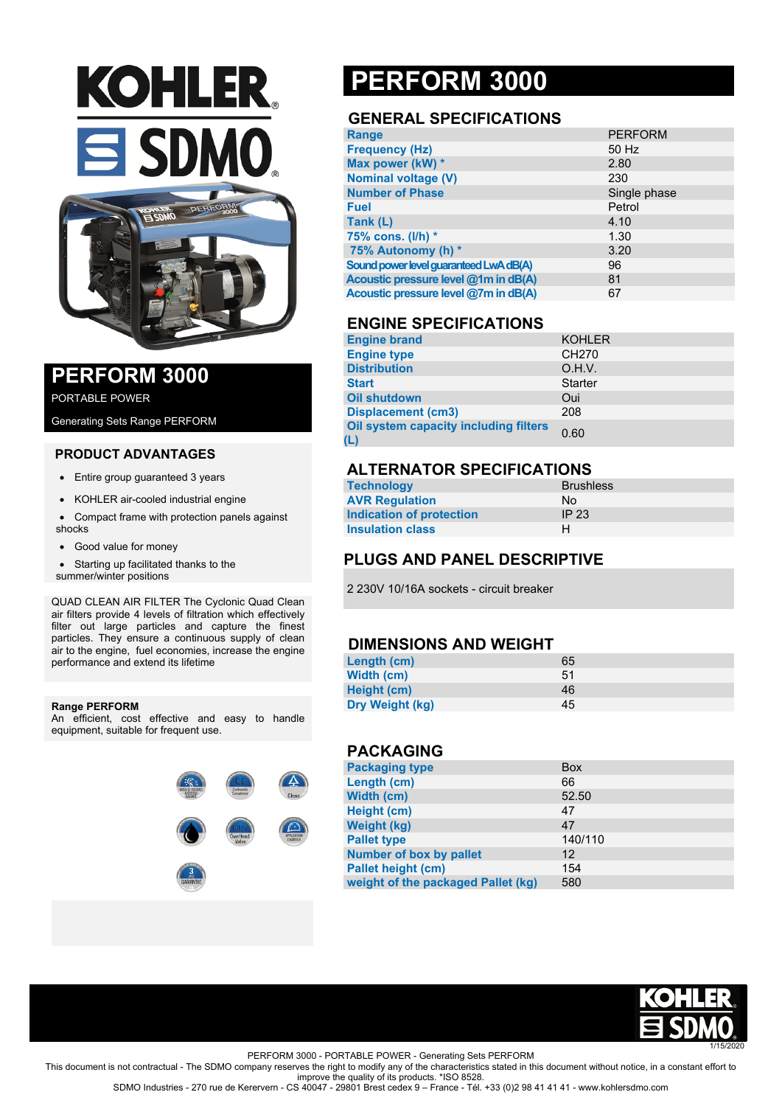



### **PERFORM 3000**

PORTABLE POWER

Generating Sets Range PERFORM

#### **PRODUCT ADVANTAGES**

- Entire group guaranteed 3 years
- KOHLER air-cooled industrial engine
- Compact frame with protection panels against shocks
- Good value for money
- Starting up facilitated thanks to the summer/winter positions

QUAD CLEAN AIR FILTER The Cyclonic Quad Clean air filters provide 4 levels of filtration which effectively filter out large particles and capture the finest particles. They ensure a continuous supply of clean air to the engine, fuel economies, increase the engine performance and extend its lifetime

#### **Range PERFORM**

An efficient, cost effective and easy to handle equipment, suitable for frequent use.



## **PERFORM 3000**

#### **GENERAL SPECIFICATIONS**

| <b>Range</b>                           | <b>PERFORM</b> |
|----------------------------------------|----------------|
| <b>Frequency (Hz)</b>                  | 50 Hz          |
| Max power (kW) *                       | 2.80           |
| <b>Nominal voltage (V)</b>             | 230            |
| <b>Number of Phase</b>                 | Single phase   |
| <b>Fuel</b>                            | Petrol         |
| Tank (L)                               | 4.10           |
| 75% cons. (I/h) *                      | 1.30           |
| 75% Autonomy (h) *                     | 3.20           |
| Sound power level guaranteed LwA dB(A) | 96             |
| Acoustic pressure level @1m in dB(A)   | 81             |
| Acoustic pressure level @7m in dB(A)   | 67             |

#### **ENGINE SPECIFICATIONS**

| <b>Engine brand</b>                          | <b>KOHLER</b>     |
|----------------------------------------------|-------------------|
| <b>Engine type</b>                           | CH <sub>270</sub> |
| <b>Distribution</b>                          | O.H.V.            |
| <b>Start</b>                                 | <b>Starter</b>    |
| <b>Oil shutdown</b>                          | Oui               |
| <b>Displacement (cm3)</b>                    | 208               |
| Oil system capacity including filters<br>(L) | 0.60              |

#### **ALTERNATOR SPECIFICATIONS**

| <b>Technology</b>        | <b>Brushless</b> |
|--------------------------|------------------|
| <b>AVR Regulation</b>    | Nο               |
| Indication of protection | IP <sub>23</sub> |
| <b>Insulation class</b>  | н                |

### **PLUGS AND PANEL DESCRIPTIVE**

2 230V 10/16A sockets - circuit breaker

#### **DIMENSIONS AND WEIGHT**

| Length (cm)     | 65 |
|-----------------|----|
| Width (cm)      | 51 |
| Height (cm)     | 46 |
| Dry Weight (kg) | 45 |

#### **PACKAGING**

| <b>Packaging type</b>              | <b>Box</b>        |
|------------------------------------|-------------------|
| Length (cm)                        | 66                |
| Width (cm)                         | 52.50             |
| Height (cm)                        | 47                |
| <b>Weight (kg)</b>                 | 47                |
| <b>Pallet type</b>                 | 140/110           |
| Number of box by pallet            | $12 \overline{ }$ |
| <b>Pallet height (cm)</b>          | 154               |
| weight of the packaged Pallet (kg) | 580               |



PERFORM 3000 - PORTABLE POWER - Generating Sets PERFORM

This document is not contractual - The SDMO company reserves the right to modify any of the characteristics stated in this document without notice, in a constant effort to improve the quality of its products. \*ISO 8528.